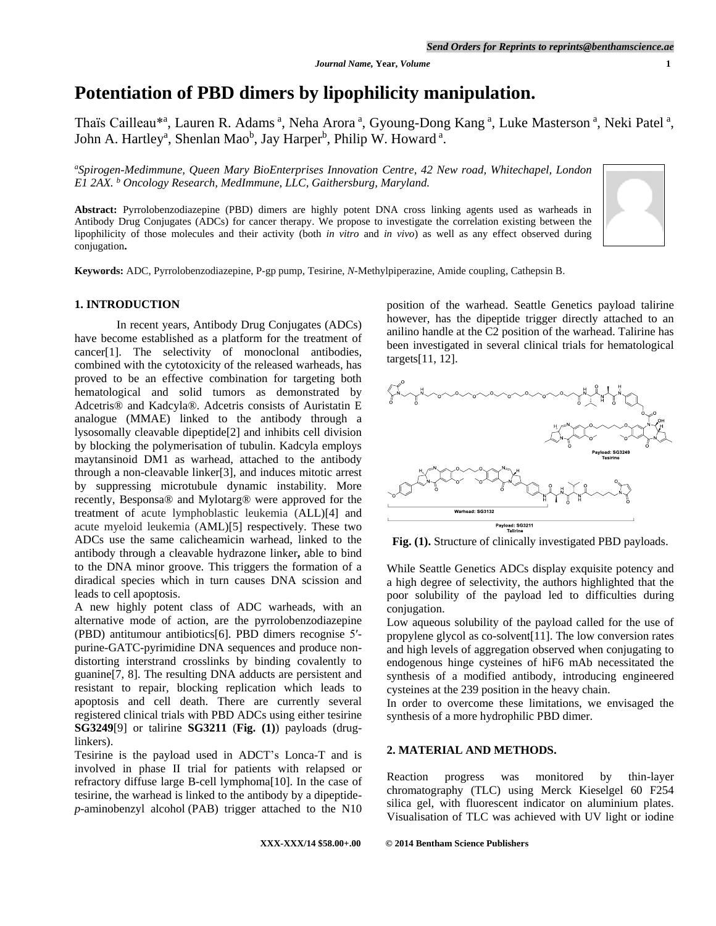# **Potentiation of PBD dimers by lipophilicity manipulation.**

Thaïs Cailleau\*<sup>a</sup>, Lauren R. Adams<sup>a</sup>, Neha Arora<sup>a</sup>, Gyoung-Dong Kang<sup>a</sup>, Luke Masterson<sup>a</sup>, Neki Patel<sup>a</sup>, John A. Hartley<sup>a</sup>, Shenlan Mao<sup>b</sup>, Jay Harper<sup>b</sup>, Philip W. Howard<sup>a</sup>.

*<sup>a</sup>Spirogen-Medimmune, Queen Mary BioEnterprises Innovation Centre, 42 New road, Whitechapel, London E1 2AX. <sup>b</sup> Oncology Research, MedImmune, LLC, Gaithersburg, Maryland.*

**Abstract:** Pyrrolobenzodiazepine (PBD) dimers are highly potent DNA cross linking agents used as warheads in Antibody Drug Conjugates (ADCs) for cancer therapy. We propose to investigate the correlation existing between the lipophilicity of those molecules and their activity (both *in vitro* and *in vivo*) as well as any effect observed during conjugation**.**



**Keywords:** ADC, Pyrrolobenzodiazepine, P-gp pump, Tesirine, *N*-Methylpiperazine, Amide coupling, Cathepsin B.

#### **1. INTRODUCTION**

In recent years, Antibody Drug Conjugates (ADCs) have become established as a platform for the treatment of cancer[1]. The selectivity of monoclonal antibodies, combined with the cytotoxicity of the released warheads, has proved to be an effective combination for targeting both hematological and solid tumors as demonstrated by Adcetris® and Kadcyla®. Adcetris consists of Auristatin E analogue (MMAE) linked to the antibody through a lysosomally cleavable dipeptide[2] and inhibits cell division by blocking the polymerisation of tubulin. Kadcyla employs maytansinoid DM1 as warhead, attached to the antibody through a non-cleavable linker[3], and induces mitotic arrest by suppressing microtubule dynamic instability. More recently, Besponsa® and Mylotarg® were approved for the treatment of acute lymphoblastic leukemia (ALL)[4] and acute myeloid leukemia (AML)[5] respectively. These two ADCs use the same calicheamicin warhead, linked to the antibody through a cleavable hydrazone linker**,** able to bind to the DNA minor groove. This triggers the formation of a diradical species which in turn causes DNA scission and leads to cell apoptosis.

A new highly potent class of ADC warheads, with an alternative mode of action, are the pyrrolobenzodiazepine (PBD) antitumour antibiotics[6]. PBD dimers recognise 5′ purine-GATC-pyrimidine DNA sequences and produce nondistorting interstrand crosslinks by binding covalently to guanine[7, 8]. The resulting DNA adducts are persistent and resistant to repair, blocking replication which leads to apoptosis and cell death. There are currently several registered clinical trials with PBD ADCs using either tesirine **SG3249**[9] or talirine **SG3211** (**Fig. (1)**) payloads (druglinkers).

Tesirine is the payload used in ADCT's Lonca-T and is involved in phase II trial for patients with relapsed or refractory diffuse large B-cell lymphoma[10]. In the case of tesirine, the warhead is linked to the antibody by a dipeptide*p*-aminobenzyl alcohol (PAB) trigger attached to the N10

position of the warhead. Seattle Genetics payload talirine however, has the dipeptide trigger directly attached to an anilino handle at the C2 position of the warhead. Talirine has been investigated in several clinical trials for hematological targets[11, 12].



**Fig. (1).** Structure of clinically investigated PBD payloads.

While Seattle Genetics ADCs display exquisite potency and a high degree of selectivity, the authors highlighted that the poor solubility of the payload led to difficulties during conjugation.

Low aqueous solubility of the payload called for the use of propylene glycol as co-solvent[11]. The low conversion rates and high levels of aggregation observed when conjugating to endogenous hinge cysteines of hiF6 mAb necessitated the synthesis of a modified antibody, introducing engineered cysteines at the 239 position in the heavy chain.

In order to overcome these limitations, we envisaged the synthesis of a more hydrophilic PBD dimer.

#### **2. MATERIAL AND METHODS.**

Reaction progress was monitored by thin-layer chromatography (TLC) using Merck Kieselgel 60 F254 silica gel, with fluorescent indicator on aluminium plates. Visualisation of TLC was achieved with UV light or iodine

#### **XXX-XXX/14 \$58.00+.00 © 2014 Bentham Science Publishers**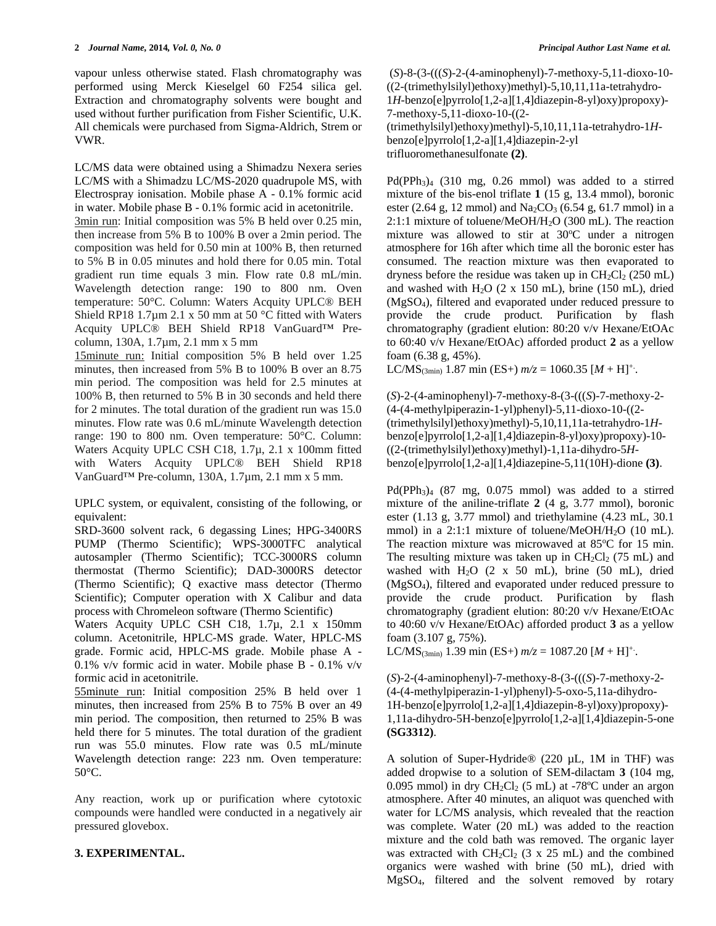vapour unless otherwise stated. Flash chromatography was performed using Merck Kieselgel 60 F254 silica gel. Extraction and chromatography solvents were bought and used without further purification from Fisher Scientific, U.K. All chemicals were purchased from Sigma-Aldrich, Strem or VWR.

LC/MS data were obtained using a Shimadzu Nexera series LC/MS with a Shimadzu LC/MS-2020 quadrupole MS, with Electrospray ionisation. Mobile phase A - 0.1% formic acid in water. Mobile phase B - 0.1% formic acid in acetonitrile. 3min run: Initial composition was 5% B held over 0.25 min, then increase from 5% B to 100% B over a 2min period. The composition was held for 0.50 min at 100% B, then returned to 5% B in 0.05 minutes and hold there for 0.05 min. Total gradient run time equals 3 min. Flow rate 0.8 mL/min. Wavelength detection range: 190 to 800 nm. Oven temperature: 50°C. Column: Waters Acquity UPLC® BEH Shield RP18 1.7µm 2.1 x 50 mm at 50 °C fitted with Waters Acquity UPLC® BEH Shield RP18 VanGuard™ Pre-

column, 130A, 1.7µm, 2.1 mm x 5 mm 15minute run: Initial composition 5% B held over 1.25 minutes, then increased from 5% B to 100% B over an 8.75 min period. The composition was held for 2.5 minutes at 100% B, then returned to 5% B in 30 seconds and held there for 2 minutes. The total duration of the gradient run was 15.0 minutes. Flow rate was 0.6 mL/minute Wavelength detection range: 190 to 800 nm. Oven temperature: 50°C. Column: Waters Acquity UPLC CSH C18, 1.7µ, 2.1 x 100mm fitted with Waters Acquity UPLC® BEH Shield RP18 VanGuard™ Pre-column, 130A, 1.7µm, 2.1 mm x 5 mm.

UPLC system, or equivalent, consisting of the following, or equivalent:

SRD-3600 solvent rack, 6 degassing Lines; HPG-3400RS PUMP (Thermo Scientific); WPS-3000TFC analytical autosampler (Thermo Scientific); TCC-3000RS column thermostat (Thermo Scientific); DAD-3000RS detector (Thermo Scientific); Q exactive mass detector (Thermo Scientific); Computer operation with X Calibur and data process with Chromeleon software (Thermo Scientific)

Waters Acquity UPLC CSH C18, 1.7µ, 2.1 x 150mm column. Acetonitrile, HPLC-MS grade. Water, HPLC-MS grade. Formic acid, HPLC-MS grade. Mobile phase A - 0.1% v/v formic acid in water. Mobile phase B - 0.1% v/v formic acid in acetonitrile.

55minute run: Initial composition 25% B held over 1 minutes, then increased from 25% B to 75% B over an 49 min period. The composition, then returned to 25% B was held there for 5 minutes. The total duration of the gradient run was 55.0 minutes. Flow rate was 0.5 mL/minute Wavelength detection range: 223 nm. Oven temperature: 50°C.

Any reaction, work up or purification where cytotoxic compounds were handled were conducted in a negatively air pressured glovebox.

# **3. EXPERIMENTAL.**

(*S*)-8-(3-(((*S*)-2-(4-aminophenyl)-7-methoxy-5,11-dioxo-10- ((2-(trimethylsilyl)ethoxy)methyl)-5,10,11,11a-tetrahydro-1*H*-benzo[e]pyrrolo[1,2-a][1,4]diazepin-8-yl)oxy)propoxy)- 7-methoxy-5,11-dioxo-10-((2- (trimethylsilyl)ethoxy)methyl)-5,10,11,11a-tetrahydro-1*H*benzo[e]pyrrolo[1,2-a][1,4]diazepin-2-yl trifluoromethanesulfonate **(2)**.

 $Pd(PPh<sub>3</sub>)<sub>4</sub>$  (310 mg, 0.26 mmol) was added to a stirred mixture of the bis-enol triflate **1** (15 g, 13.4 mmol), boronic ester (2.64 g, 12 mmol) and  $Na_2CO_3$  (6.54 g, 61.7 mmol) in a 2:1:1 mixture of toluene/MeOH/H2O (300 mL). The reaction mixture was allowed to stir at  $30^{\circ}$ C under a nitrogen atmosphere for 16h after which time all the boronic ester has consumed. The reaction mixture was then evaporated to dryness before the residue was taken up in  $CH_2Cl_2$  (250 mL) and washed with H<sub>2</sub>O (2 x 150 mL), brine (150 mL), dried (MgSO4), filtered and evaporated under reduced pressure to provide the crude product. Purification by flash chromatography (gradient elution: 80:20 v/v Hexane/EtOAc to 60:40 v/v Hexane/EtOAc) afforded product **2** as a yellow foam (6.38 g, 45%).

LC/MS<sub>(3min)</sub> 1.87 min (ES+)  $m/z = 1060.35$  [*M* + H]<sup>+</sup>.

(*S*)-2-(4-aminophenyl)-7-methoxy-8-(3-(((*S*)-7-methoxy-2- (4-(4-methylpiperazin-1-yl)phenyl)-5,11-dioxo-10-((2- (trimethylsilyl)ethoxy)methyl)-5,10,11,11a-tetrahydro-1*H*benzo[e]pyrrolo[1,2-a][1,4]diazepin-8-yl)oxy)propoxy)-10- ((2-(trimethylsilyl)ethoxy)methyl)-1,11a-dihydro-5*H*benzo[e]pyrrolo[1,2-a][1,4]diazepine-5,11(10H)-dione **(3)**.

 $Pd(PPh<sub>3</sub>)<sub>4</sub>$  (87 mg, 0.075 mmol) was added to a stirred mixture of the aniline-triflate **2** (4 g, 3.77 mmol), boronic ester (1.13 g, 3.77 mmol) and triethylamine (4.23 mL, 30.1 mmol) in a 2:1:1 mixture of toluene/MeOH/H<sub>2</sub>O (10 mL). The reaction mixture was microwaved at  $85^{\circ}$ C for 15 min. The resulting mixture was taken up in  $CH_2Cl_2$  (75 mL) and washed with H2O (2 x 50 mL), brine (50 mL), dried (MgSO4), filtered and evaporated under reduced pressure to provide the crude product. Purification by flash chromatography (gradient elution: 80:20 v/v Hexane/EtOAc to 40:60 v/v Hexane/EtOAc) afforded product **3** as a yellow foam (3.107 g, 75%).

LC/MS<sub>(3min)</sub> 1.39 min (ES+)  $m/z = 1087.20$  [*M* + H]<sup>+</sup>.

(*S*)-2-(4-aminophenyl)-7-methoxy-8-(3-(((*S*)-7-methoxy-2- (4-(4-methylpiperazin-1-yl)phenyl)-5-oxo-5,11a-dihydro-1H-benzo[e]pyrrolo[1,2-a][1,4]diazepin-8-yl)oxy)propoxy)- 1,11a-dihydro-5H-benzo[e]pyrrolo[1,2-a][1,4]diazepin-5-one **(SG3312)**.

A solution of Super-Hydride® (220 µL, 1M in THF) was added dropwise to a solution of SEM-dilactam **3** (104 mg, 0.095 mmol) in dry  $CH_2Cl_2$  (5 mL) at -78<sup>o</sup>C under an argon atmosphere. After 40 minutes, an aliquot was quenched with water for LC/MS analysis, which revealed that the reaction was complete. Water (20 mL) was added to the reaction mixture and the cold bath was removed. The organic layer was extracted with  $CH_2Cl_2$  (3 x 25 mL) and the combined organics were washed with brine (50 mL), dried with MgSO4, filtered and the solvent removed by rotary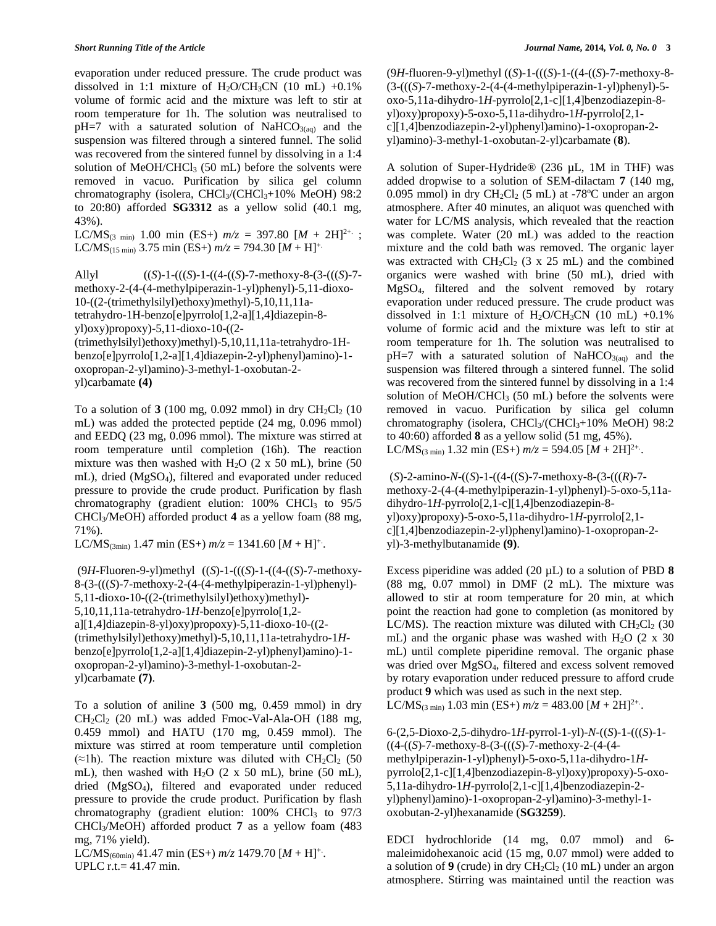evaporation under reduced pressure. The crude product was dissolved in 1:1 mixture of  $H_2O/CH_3CN$  (10 mL) +0.1% volume of formic acid and the mixture was left to stir at room temperature for 1h. The solution was neutralised to  $pH=7$  with a saturated solution of NaHCO<sub>3(aq)</sub> and the suspension was filtered through a sintered funnel. The solid was recovered from the sintered funnel by dissolving in a 1:4 solution of MeOH/CHCl $_3$  (50 mL) before the solvents were removed in vacuo. Purification by silica gel column chromatography (isolera,  $CHCl<sub>3</sub>/CHCl<sub>3</sub>+10%$  MeOH) 98:2 to 20:80) afforded **SG3312** as a yellow solid (40.1 mg, 43%).

LC/MS<sub>(3 min)</sub> 1.00 min (ES+)  $m/z = 397.80$  [*M* + 2H]<sup>2+.</sup>; LC/MS<sub>(15 min</sub>) 3.75 min (ES+)  $m/z = 794.30$  [*M* + H]<sup>+.</sup>

Allyl ((*S*)-1-(((*S*)-1-((4-((*S*)-7-methoxy-8-(3-(((*S*)-7 methoxy-2-(4-(4-methylpiperazin-1-yl)phenyl)-5,11-dioxo-10-((2-(trimethylsilyl)ethoxy)methyl)-5,10,11,11atetrahydro-1H-benzo[e]pyrrolo[1,2-a][1,4]diazepin-8 yl)oxy)propoxy)-5,11-dioxo-10-((2- (trimethylsilyl)ethoxy)methyl)-5,10,11,11a-tetrahydro-1Hbenzo[e]pyrrolo[1,2-a][1,4]diazepin-2-yl)phenyl)amino)-1 oxopropan-2-yl)amino)-3-methyl-1-oxobutan-2 yl)carbamate **(4)**

To a solution of  $3(100 \text{ mg}, 0.092 \text{ mmol})$  in dry  $\text{CH}_2\text{Cl}_2(10)$ mL) was added the protected peptide (24 mg, 0.096 mmol) and EEDQ (23 mg, 0.096 mmol). The mixture was stirred at room temperature until completion (16h). The reaction mixture was then washed with  $H_2O$  (2 x 50 mL), brine (50 mL), dried (MgSO4), filtered and evaporated under reduced pressure to provide the crude product. Purification by flash chromatography (gradient elution:  $100\%$  CHCl<sub>3</sub> to  $95/5$ CHCl3/MeOH) afforded product **4** as a yellow foam (88 mg, 71%).

LC/MS<sub>(3min)</sub> 1.47 min (ES+)  $m/z = 1341.60$  [*M* + H]<sup>+</sup>.

(9*H*-Fluoren-9-yl)methyl ((*S*)-1-(((*S*)-1-((4-((*S*)-7-methoxy-8-(3-(((*S*)-7-methoxy-2-(4-(4-methylpiperazin-1-yl)phenyl)- 5,11-dioxo-10-((2-(trimethylsilyl)ethoxy)methyl)- 5,10,11,11a-tetrahydro-1*H*-benzo[e]pyrrolo[1,2 a][1,4]diazepin-8-yl)oxy)propoxy)-5,11-dioxo-10-((2- (trimethylsilyl)ethoxy)methyl)-5,10,11,11a-tetrahydro-1*H*benzo[e]pyrrolo[1,2-a][1,4]diazepin-2-yl)phenyl)amino)-1 oxopropan-2-yl)amino)-3-methyl-1-oxobutan-2 yl)carbamate **(7)**.

To a solution of aniline **3** (500 mg, 0.459 mmol) in dry  $CH_2Cl_2$  (20 mL) was added Fmoc-Val-Ala-OH (188 mg, 0.459 mmol) and HATU (170 mg, 0.459 mmol). The mixture was stirred at room temperature until completion (≈1h). The reaction mixture was diluted with  $CH_2Cl_2$  (50 mL), then washed with  $H_2O$  (2 x 50 mL), brine (50 mL), dried (MgSO4), filtered and evaporated under reduced pressure to provide the crude product. Purification by flash chromatography (gradient elution:  $100\%$  CHCl<sub>3</sub> to  $97/3$ CHCl3/MeOH) afforded product **7** as a yellow foam (483 mg, 71% yield).

LC/MS<sub>(60min</sub>) 41.47 min (ES+)  $m/z$  1479.70  $[M + H]$ <sup>+</sup>. UPLC r.t.= 41.47 min.

(9*H*-fluoren-9-yl)methyl ((*S*)-1-(((*S*)-1-((4-((*S*)-7-methoxy-8- (3-(((*S*)-7-methoxy-2-(4-(4-methylpiperazin-1-yl)phenyl)-5 oxo-5,11a-dihydro-1*H*-pyrrolo[2,1-c][1,4]benzodiazepin-8 yl)oxy)propoxy)-5-oxo-5,11a-dihydro-1*H*-pyrrolo $[2,1$ c][1,4]benzodiazepin-2-yl)phenyl)amino)-1-oxopropan-2 yl)amino)-3-methyl-1-oxobutan-2-yl)carbamate (**8**).

A solution of Super-Hydride® (236 µL, 1M in THF) was added dropwise to a solution of SEM-dilactam **7** (140 mg, 0.095 mmol) in dry  $CH_2Cl_2$  (5 mL) at -78°C under an argon atmosphere. After 40 minutes, an aliquot was quenched with water for LC/MS analysis, which revealed that the reaction was complete. Water (20 mL) was added to the reaction mixture and the cold bath was removed. The organic layer was extracted with  $CH_2Cl_2$  (3 x 25 mL) and the combined organics were washed with brine (50 mL), dried with MgSO4, filtered and the solvent removed by rotary evaporation under reduced pressure. The crude product was dissolved in 1:1 mixture of  $H_2O/CH_3CN$  (10 mL) +0.1% volume of formic acid and the mixture was left to stir at room temperature for 1h. The solution was neutralised to  $pH=7$  with a saturated solution of NaHCO<sub>3(aq)</sub> and the suspension was filtered through a sintered funnel. The solid was recovered from the sintered funnel by dissolving in a 1:4 solution of MeOH/CHCl<sup>3</sup> (50 mL) before the solvents were removed in vacuo. Purification by silica gel column chromatography (isolera, CHCl<sub>3</sub>/(CHCl<sub>3</sub>+10% MeOH) 98:2 to 40:60) afforded **8** as a yellow solid (51 mg, 45%). LC/MS<sub>(3 min</sub>) 1.32 min (ES+)  $m/z = 594.05$  [*M* + 2H]<sup>2+</sup>.

(*S*)-2-amino-*N*-((*S*)-1-((4-((S)-7-methoxy-8-(3-(((*R*)-7 methoxy-2-(4-(4-methylpiperazin-1-yl)phenyl)-5-oxo-5,11adihydro-1*H*-pyrrolo[2,1-c][1,4]benzodiazepin-8 yl)oxy)propoxy)-5-oxo-5,11a-dihydro-1*H*-pyrrolo $[2,1$ c][1,4]benzodiazepin-2-yl)phenyl)amino)-1-oxopropan-2 yl)-3-methylbutanamide **(9)**.

Excess piperidine was added (20 µL) to a solution of PBD **8** (88 mg, 0.07 mmol) in DMF (2 mL). The mixture was allowed to stir at room temperature for 20 min, at which point the reaction had gone to completion (as monitored by LC/MS). The reaction mixture was diluted with  $CH<sub>2</sub>Cl<sub>2</sub>$  (30 mL) and the organic phase was washed with  $H_2O$  (2 x 30) mL) until complete piperidine removal. The organic phase was dried over MgSO4, filtered and excess solvent removed by rotary evaporation under reduced pressure to afford crude product **9** which was used as such in the next step. LC/MS<sub>(3 min)</sub> 1.03 min (ES+)  $m/z = 483.00$  [*M* + 2H]<sup>2+</sup>.

6-(2,5-Dioxo-2,5-dihydro-1*H*-pyrrol-1-yl)-*N*-((*S*)-1-(((*S*)-1- ((4-((*S*)-7-methoxy-8-(3-(((*S*)-7-methoxy-2-(4-(4 methylpiperazin-1-yl)phenyl)-5-oxo-5,11a-dihydro-1*H*pyrrolo[2,1-c][1,4]benzodiazepin-8-yl)oxy)propoxy)-5-oxo-5,11a-dihydro-1*H*-pyrrolo[2,1-c][1,4]benzodiazepin-2 yl)phenyl)amino)-1-oxopropan-2-yl)amino)-3-methyl-1 oxobutan-2-yl)hexanamide (**SG3259**).

EDCI hydrochloride (14 mg, 0.07 mmol) and 6 maleimidohexanoic acid (15 mg, 0.07 mmol) were added to a solution of  $9$  (crude) in dry  $CH_2Cl_2$  (10 mL) under an argon atmosphere. Stirring was maintained until the reaction was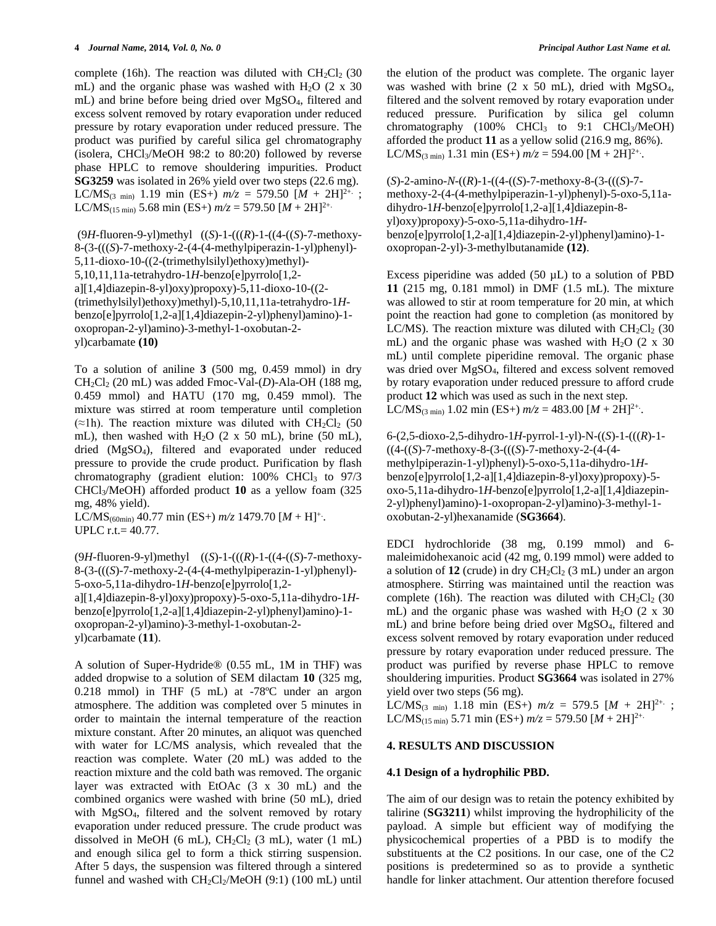complete (16h). The reaction was diluted with  $CH_2Cl_2$  (30 mL) and the organic phase was washed with  $H<sub>2</sub>O$  (2 x 30) mL) and brine before being dried over MgSO4, filtered and excess solvent removed by rotary evaporation under reduced pressure by rotary evaporation under reduced pressure. The product was purified by careful silica gel chromatography (isolera, CHCl3/MeOH 98:2 to 80:20) followed by reverse phase HPLC to remove shouldering impurities. Product **SG3259** was isolated in 26% yield over two steps (22.6 mg). LC/MS<sub>(3 min)</sub> 1.19 min (ES+)  $m/z = 579.50$   $[M + 2H]^{2+}$ ; LC/MS<sub>(15 min)</sub> 5.68 min (ES+)  $m/z = 579.50$  [*M* + 2H]<sup>2+.</sup>

(9*H*-fluoren-9-yl)methyl ((*S*)-1-(((*R*)-1-((4-((*S*)-7-methoxy-8-(3-(((*S*)-7-methoxy-2-(4-(4-methylpiperazin-1-yl)phenyl)- 5,11-dioxo-10-((2-(trimethylsilyl)ethoxy)methyl)- 5,10,11,11a-tetrahydro-1*H*-benzo[e]pyrrolo[1,2 a][1,4]diazepin-8-yl)oxy)propoxy)-5,11-dioxo-10-((2- (trimethylsilyl)ethoxy)methyl)-5,10,11,11a-tetrahydro-1*H*benzo[e]pyrrolo[1,2-a][1,4]diazepin-2-yl)phenyl)amino)-1 oxopropan-2-yl)amino)-3-methyl-1-oxobutan-2 yl)carbamate **(10)**

To a solution of aniline **3** (500 mg, 0.459 mmol) in dry CH2Cl<sup>2</sup> (20 mL) was added Fmoc-Val-(*D*)-Ala-OH (188 mg, 0.459 mmol) and HATU (170 mg, 0.459 mmol). The mixture was stirred at room temperature until completion (≈1h). The reaction mixture was diluted with  $CH<sub>2</sub>Cl<sub>2</sub>$  (50 mL), then washed with H<sub>2</sub>O  $(2 \times 50 \text{ mL})$ , brine  $(50 \text{ mL})$ , dried (MgSO4), filtered and evaporated under reduced pressure to provide the crude product. Purification by flash chromatography (gradient elution:  $100\%$  CHCl<sub>3</sub> to  $97/3$ CHCl3/MeOH) afforded product **10** as a yellow foam (325 mg, 48% yield).

LC/MS<sub>(60min</sub>) 40.77 min (ES+)  $m/z$  1479.70  $[M + H]$ <sup>+</sup>. UPLC r.t.= 40.77.

(9*H*-fluoren-9-yl)methyl ((*S*)-1-(((*R*)-1-((4-((*S*)-7-methoxy-8-(3-(((*S*)-7-methoxy-2-(4-(4-methylpiperazin-1-yl)phenyl)- 5-oxo-5,11a-dihydro-1*H*-benzo[e]pyrrolo[1,2 a][1,4]diazepin-8-yl)oxy)propoxy)-5-oxo-5,11a-dihydro-1*H*benzo[e]pyrrolo[1,2-a][1,4]diazepin-2-yl)phenyl)amino)-1 oxopropan-2-yl)amino)-3-methyl-1-oxobutan-2 yl)carbamate (**11**).

A solution of Super-Hydride® (0.55 mL, 1M in THF) was added dropwise to a solution of SEM dilactam **10** (325 mg, 0.218 mmol) in THF (5 mL) at -78ºC under an argon atmosphere. The addition was completed over 5 minutes in order to maintain the internal temperature of the reaction mixture constant. After 20 minutes, an aliquot was quenched with water for LC/MS analysis, which revealed that the reaction was complete. Water (20 mL) was added to the reaction mixture and the cold bath was removed. The organic layer was extracted with EtOAc (3 x 30 mL) and the combined organics were washed with brine (50 mL), dried with MgSO4, filtered and the solvent removed by rotary evaporation under reduced pressure. The crude product was dissolved in MeOH (6 mL),  $CH_2Cl_2$  (3 mL), water (1 mL) and enough silica gel to form a thick stirring suspension. After 5 days, the suspension was filtered through a sintered funnel and washed with  $CH_2Cl_2/MeOH$  (9:1) (100 mL) until the elution of the product was complete. The organic layer was washed with brine (2 x 50 mL), dried with MgSO4, filtered and the solvent removed by rotary evaporation under reduced pressure*.* Purification by silica gel column chromatography (100% CHCl<sub>3</sub> to 9:1 CHCl<sub>3</sub>/MeOH) afforded the product **11** as a yellow solid (216.9 mg, 86%). LC/MS<sub>(3 min</sub>) 1.31 min (ES+)  $m/z = 594.00$  [M + 2H]<sup>2+</sup>.

(*S*)-2-amino-*N*-((*R*)-1-((4-((*S*)-7-methoxy-8-(3-(((*S*)-7 methoxy-2-(4-(4-methylpiperazin-1-yl)phenyl)-5-oxo-5,11adihydro-1*H*-benzo[e]pyrrolo[1,2-a][1,4]diazepin-8 yl)oxy)propoxy)-5-oxo-5,11a-dihydro-1*H*benzo[e]pyrrolo[1,2-a][1,4]diazepin-2-yl)phenyl)amino)-1 oxopropan-2-yl)-3-methylbutanamide **(12)**.

Excess piperidine was added  $(50 \mu L)$  to a solution of PBD **11** (215 mg, 0.181 mmol) in DMF (1.5 mL). The mixture was allowed to stir at room temperature for 20 min, at which point the reaction had gone to completion (as monitored by LC/MS). The reaction mixture was diluted with  $CH<sub>2</sub>Cl<sub>2</sub>$  (30 mL) and the organic phase was washed with  $H_2O$  (2 x 30) mL) until complete piperidine removal. The organic phase was dried over MgSO4, filtered and excess solvent removed by rotary evaporation under reduced pressure to afford crude product **12** which was used as such in the next step. LC/MS<sub>(3 min</sub>) 1.02 min (ES+)  $m/z = 483.00$  [*M* + 2H]<sup>2+</sup>.

6-(2,5-dioxo-2,5-dihydro-1*H*-pyrrol-1-yl)-N-((*S*)-1-(((*R*)-1- ((4-((*S*)-7-methoxy-8-(3-(((*S*)-7-methoxy-2-(4-(4 methylpiperazin-1-yl)phenyl)-5-oxo-5,11a-dihydro-1*H*benzo[e]pyrrolo[1,2-a][1,4]diazepin-8-yl)oxy)propoxy)-5 oxo-5,11a-dihydro-1*H*-benzo[e]pyrrolo[1,2-a][1,4]diazepin-2-yl)phenyl)amino)-1-oxopropan-2-yl)amino)-3-methyl-1 oxobutan-2-yl)hexanamide (**SG3664**).

EDCI hydrochloride (38 mg, 0.199 mmol) and 6 maleimidohexanoic acid (42 mg, 0.199 mmol) were added to a solution of  $12$  (crude) in dry  $CH_2Cl_2$  (3 mL) under an argon atmosphere. Stirring was maintained until the reaction was complete (16h). The reaction was diluted with  $CH<sub>2</sub>Cl<sub>2</sub>$  (30 mL) and the organic phase was washed with H<sub>2</sub>O  $(2 \times 30)$ mL) and brine before being dried over MgSO4, filtered and excess solvent removed by rotary evaporation under reduced pressure by rotary evaporation under reduced pressure. The product was purified by reverse phase HPLC to remove shouldering impurities. Product **SG3664** was isolated in 27% yield over two steps (56 mg).

LC/MS<sub>(3 min</sub>) 1.18 min (ES+)  $m/z = 579.5$  [*M* + 2H]<sup>2+.</sup> ; LC/MS<sub>(15 min)</sub> 5.71 min (ES+)  $m/z = 579.50$   $[M + 2H]^{2+}$ .

# **4. RESULTS AND DISCUSSION**

# **4.1 Design of a hydrophilic PBD.**

The aim of our design was to retain the potency exhibited by talirine (**SG3211**) whilst improving the hydrophilicity of the payload. A simple but efficient way of modifying the physicochemical properties of a PBD is to modify the substituents at the C2 positions. In our case, one of the C2 positions is predetermined so as to provide a synthetic handle for linker attachment. Our attention therefore focused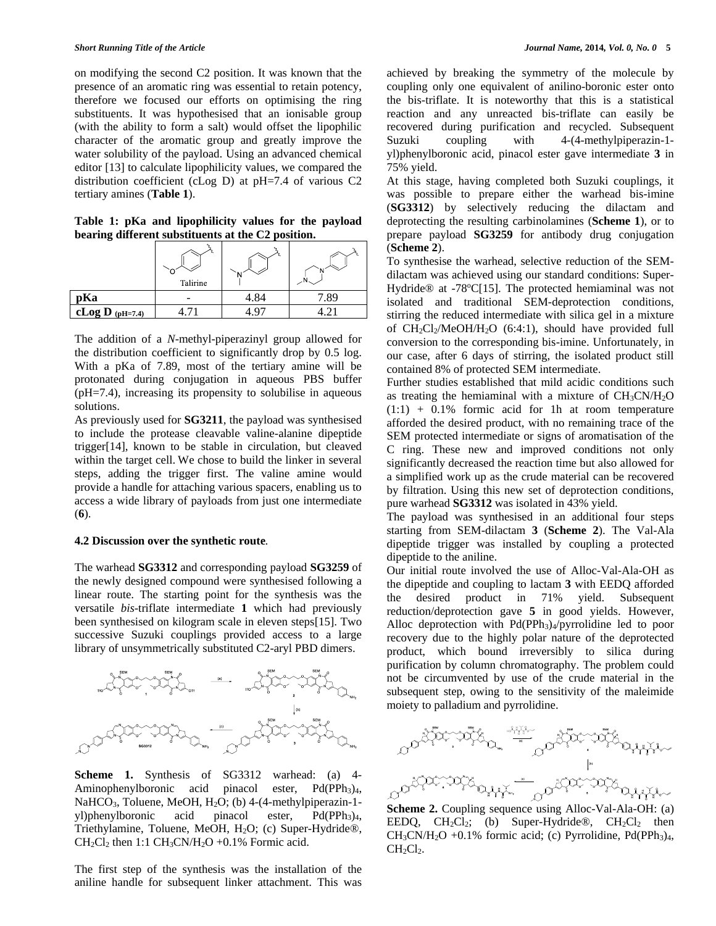on modifying the second C2 position. It was known that the presence of an aromatic ring was essential to retain potency, therefore we focused our efforts on optimising the ring substituents. It was hypothesised that an ionisable group (with the ability to form a salt) would offset the lipophilic character of the aromatic group and greatly improve the water solubility of the payload. Using an advanced chemical editor [13] to calculate lipophilicity values, we compared the distribution coefficient (cLog D) at pH=7.4 of various C2 tertiary amines (**Table 1**).

**Table 1: pKa and lipophilicity values for the payload bearing different substituents at the C2 position.**

|                   | Talirine |      |     |
|-------------------|----------|------|-----|
| pKa               |          | 4.84 | .89 |
| cLog D $(pH=7.4)$ |          |      |     |

The addition of a *N*-methyl-piperazinyl group allowed for the distribution coefficient to significantly drop by 0.5 log. With a pKa of 7.89, most of the tertiary amine will be protonated during conjugation in aqueous PBS buffer (pH=7.4), increasing its propensity to solubilise in aqueous solutions.

As previously used for **SG3211**, the payload was synthesised to include the protease cleavable valine-alanine dipeptide trigger[14], known to be stable in circulation, but cleaved within the target cell. We chose to build the linker in several steps, adding the trigger first. The valine amine would provide a handle for attaching various spacers, enabling us to access a wide library of payloads from just one intermediate (**6**).

## **4.2 Discussion over the synthetic route***.*

The warhead **SG3312** and corresponding payload **SG3259** of the newly designed compound were synthesised following a linear route. The starting point for the synthesis was the versatile *bis*-triflate intermediate **1** which had previously been synthesised on kilogram scale in eleven steps[15]. Two successive Suzuki couplings provided access to a large library of unsymmetrically substituted C2-aryl PBD dimers.



**Scheme 1.** Synthesis of SG3312 warhead: (a) 4- Aminophenylboronic acid pinacol ester,  $Pd(PPh<sub>3</sub>)<sub>4</sub>$ , NaHCO<sub>3</sub>, Toluene, MeOH, H<sub>2</sub>O; (b) 4-(4-methylpiperazin-1yl)phenylboronic acid pinacol ester, Pd(PPh<sub>3</sub>)<sub>4</sub>, Triethylamine, Toluene, MeOH, H<sub>2</sub>O; (c) Super-Hydride®,  $CH<sub>2</sub>Cl<sub>2</sub>$  then 1:1 CH<sub>3</sub>CN/H<sub>2</sub>O +0.1% Formic acid.

The first step of the synthesis was the installation of the aniline handle for subsequent linker attachment. This was achieved by breaking the symmetry of the molecule by coupling only one equivalent of anilino-boronic ester onto the bis-triflate. It is noteworthy that this is a statistical reaction and any unreacted bis-triflate can easily be recovered during purification and recycled. Subsequent Suzuki coupling with 4-(4-methylpiperazin-1 yl)phenylboronic acid, pinacol ester gave intermediate **3** in 75% yield.

At this stage, having completed both Suzuki couplings, it was possible to prepare either the warhead bis-imine (**SG3312**) by selectively reducing the dilactam and deprotecting the resulting carbinolamines (**Scheme 1**), or to prepare payload **SG3259** for antibody drug conjugation (**Scheme 2**).

To synthesise the warhead, selective reduction of the SEMdilactam was achieved using our standard conditions: Super-Hydride® at -78°C[15]. The protected hemiaminal was not isolated and traditional SEM-deprotection conditions, stirring the reduced intermediate with silica gel in a mixture of CH2Cl2/MeOH/H2O (6:4:1), should have provided full conversion to the corresponding bis-imine. Unfortunately, in our case, after 6 days of stirring, the isolated product still contained 8% of protected SEM intermediate.

Further studies established that mild acidic conditions such as treating the hemiaminal with a mixture of CH3CN/H2O  $(1:1) + 0.1\%$  formic acid for 1h at room temperature afforded the desired product, with no remaining trace of the SEM protected intermediate or signs of aromatisation of the C ring. These new and improved conditions not only significantly decreased the reaction time but also allowed for a simplified work up as the crude material can be recovered by filtration. Using this new set of deprotection conditions, pure warhead **SG3312** was isolated in 43% yield.

The payload was synthesised in an additional four steps starting from SEM-dilactam **3** (**Scheme 2**). The Val-Ala dipeptide trigger was installed by coupling a protected dipeptide to the aniline.

Our initial route involved the use of Alloc-Val-Ala-OH as the dipeptide and coupling to lactam **3** with EEDQ afforded the desired product in 71% yield. Subsequent reduction/deprotection gave **5** in good yields. However, Alloc deprotection with  $Pd(PPh<sub>3</sub>)<sub>4</sub>/pyrrolidine led to poor$ recovery due to the highly polar nature of the deprotected product, which bound irreversibly to silica during purification by column chromatography. The problem could not be circumvented by use of the crude material in the subsequent step, owing to the sensitivity of the maleimide moiety to palladium and pyrrolidine.



**Scheme 2.** Coupling sequence using Alloc-Val-Ala-OH: (a) EEDQ,  $CH_2Cl_2$ ; (b) Super-Hydride®,  $CH_2Cl_2$  then  $CH_3CN/H_2O +0.1\%$  formic acid; (c) Pyrrolidine, Pd(PPh<sub>3</sub>)<sub>4</sub>,  $CH<sub>2</sub>Cl<sub>2</sub>$ .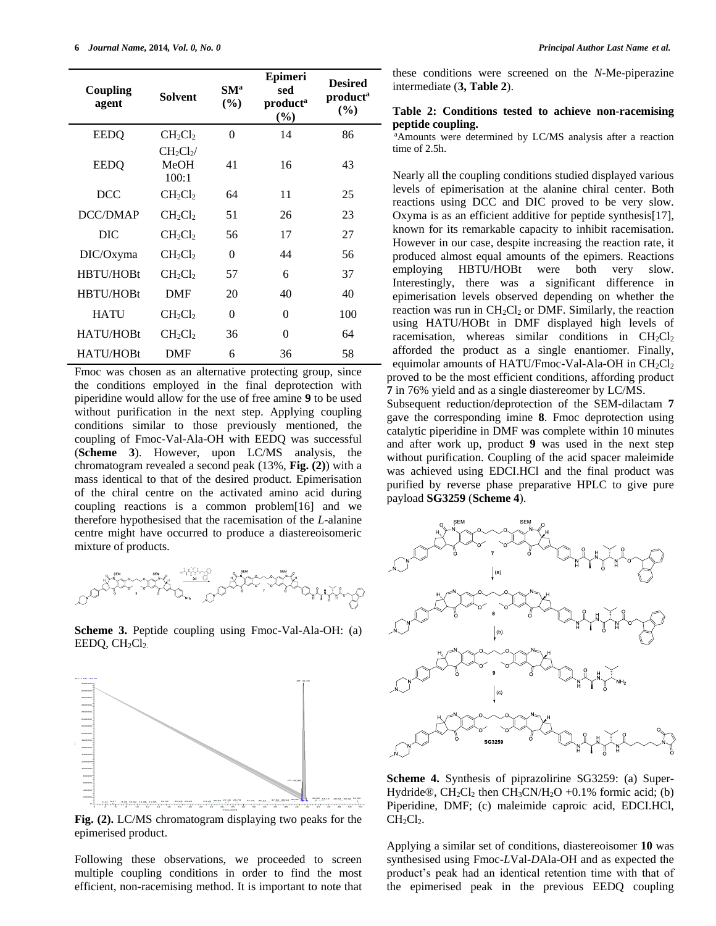| Coupling<br>agent | <b>Solvent</b>                  | SM <sup>a</sup><br>(%) | Epimeri<br>sed<br>product <sup>a</sup><br>(%) | <b>Desired</b><br>product <sup>a</sup><br>$(\%)$ |
|-------------------|---------------------------------|------------------------|-----------------------------------------------|--------------------------------------------------|
| <b>EEDQ</b>       | $CH_2Cl_2$                      | $\Omega$               | 14                                            | 86                                               |
| <b>EEDQ</b>       | $CH_2Cl_2$ /<br>MeOH<br>100:1   | 41                     | 16                                            | 43                                               |
| <b>DCC</b>        | $CH_2Cl_2$                      | 64                     | 11                                            | 25                                               |
| DCC/DMAP          | CH <sub>2</sub> Cl <sub>2</sub> | 51                     | 26                                            | 23                                               |
| DIC               | $CH_2Cl_2$                      | 56                     | 17                                            | 27                                               |
| DIC/Oxyma         | $CH_2Cl_2$                      | 0                      | 44                                            | 56                                               |
| HBTU/HOBt         | CH <sub>2</sub> Cl <sub>2</sub> | 57                     | 6                                             | 37                                               |
| HBTU/HOBt         | <b>DMF</b>                      | 20                     | 40                                            | 40                                               |
| <b>HATU</b>       | $CH_2Cl_2$                      | 0                      | $\theta$                                      | 100                                              |
| HATU/HOBt         | $CH_2Cl_2$                      | 36                     | 0                                             | 64                                               |
| HATU/HOBt         | DMF                             | 6                      | 36                                            | 58                                               |

Fmoc was chosen as an alternative protecting group, since the conditions employed in the final deprotection with piperidine would allow for the use of free amine **9** to be used without purification in the next step. Applying coupling conditions similar to those previously mentioned, the coupling of Fmoc-Val-Ala-OH with EEDQ was successful (**Scheme 3**). However, upon LC/MS analysis, the chromatogram revealed a second peak (13%, **Fig. (2)**) with a mass identical to that of the desired product. Epimerisation of the chiral centre on the activated amino acid during coupling reactions is a common problem[16] and we therefore hypothesised that the racemisation of the *L*-alanine centre might have occurred to produce a diastereoisomeric mixture of products.



**Scheme 3.** Peptide coupling using Fmoc-Val-Ala-OH: (a) EEDQ, CH<sub>2</sub>Cl<sub>2.</sub>



**Fig. (2).** LC/MS chromatogram displaying two peaks for the epimerised product.

Following these observations, we proceeded to screen multiple coupling conditions in order to find the most efficient, non-racemising method. It is important to note that these conditions were screened on the *N*-Me-piperazine intermediate (**3, Table 2**).

## **Table 2: Conditions tested to achieve non-racemising peptide coupling.**

<sup>a</sup>Amounts were determined by LC/MS analysis after a reaction time of 2.5h.

Nearly all the coupling conditions studied displayed various levels of epimerisation at the alanine chiral center. Both reactions using DCC and DIC proved to be very slow. Oxyma is as an efficient additive for peptide synthesis[17], known for its remarkable capacity to inhibit racemisation. However in our case, despite increasing the reaction rate, it produced almost equal amounts of the epimers. Reactions employing HBTU/HOBt were both very slow. Interestingly, there was a significant difference in epimerisation levels observed depending on whether the reaction was run in  $CH_2Cl_2$  or DMF. Similarly, the reaction using HATU/HOBt in DMF displayed high levels of racemisation, whereas similar conditions in  $CH_2Cl_2$ afforded the product as a single enantiomer. Finally, equimolar amounts of HATU/Fmoc-Val-Ala-OH in  $CH_2Cl_2$ proved to be the most efficient conditions, affording product **7** in 76% yield and as a single diastereomer by LC/MS.

Subsequent reduction/deprotection of the SEM-dilactam **7** gave the corresponding imine **8**. Fmoc deprotection using catalytic piperidine in DMF was complete within 10 minutes and after work up, product **9** was used in the next step without purification. Coupling of the acid spacer maleimide was achieved using EDCI.HCl and the final product was purified by reverse phase preparative HPLC to give pure payload **SG3259** (**Scheme 4**).



**Scheme 4.** Synthesis of piprazolirine SG3259: (a) Super-Hydride®,  $CH_2Cl_2$  then  $CH_3CN/H_2O +0.1\%$  formic acid; (b) Piperidine, DMF; (c) maleimide caproic acid, EDCI.HCl, CH<sub>2</sub>Cl<sub>2</sub>.

Applying a similar set of conditions, diastereoisomer **10** was synthesised using Fmoc-*L*Val-*D*Ala-OH and as expected the product's peak had an identical retention time with that of the epimerised peak in the previous EEDQ coupling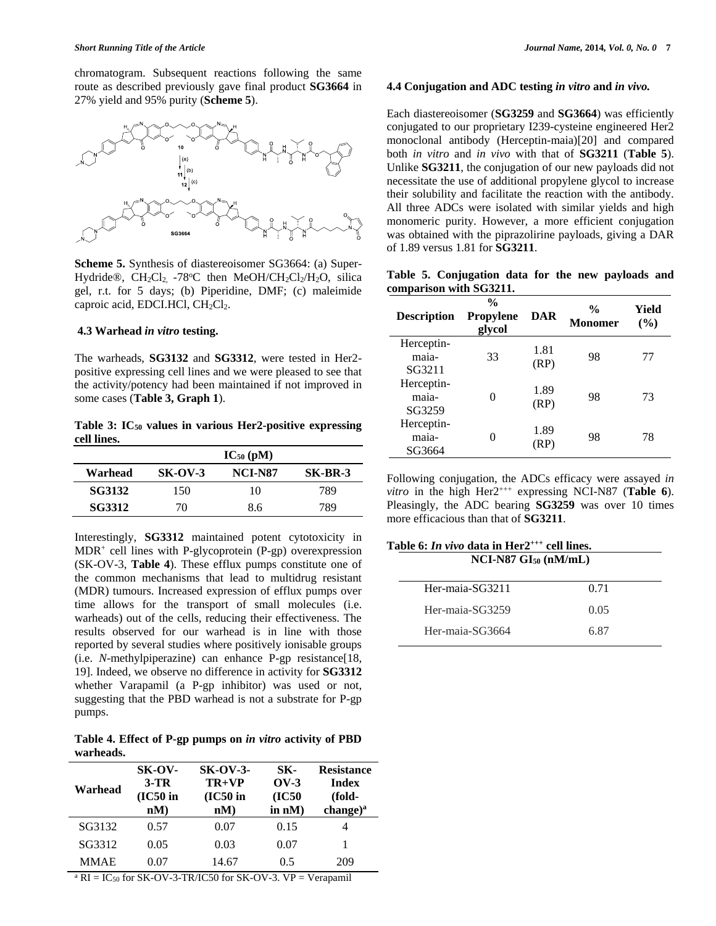chromatogram. Subsequent reactions following the same route as described previously gave final product **SG3664** in 27% yield and 95% purity (**Scheme 5**).



**Scheme 5.** Synthesis of diastereoisomer SG3664: (a) Super-Hydride®,  $CH_2Cl_2$  -78°C then MeOH/CH<sub>2</sub>Cl<sub>2</sub>/H<sub>2</sub>O, silica gel, r.t. for 5 days; (b) Piperidine, DMF; (c) maleimide caproic acid, EDCI.HCl,  $CH<sub>2</sub>Cl<sub>2</sub>$ .

# **4.3 Warhead** *in vitro* **testing.**

The warheads, **SG3132** and **SG3312**, were tested in Her2 positive expressing cell lines and we were pleased to see that the activity/potency had been maintained if not improved in some cases (**Table 3, Graph 1**).

**Table 3: IC<sup>50</sup> values in various Her2-positive expressing cell lines.**

|               |           | $IC_{50}$ (pM) |         |
|---------------|-----------|----------------|---------|
| Warhead       | $SK-OV-3$ | NCI-N87        | SK-BR-3 |
| <b>SG3132</b> | 150       | 10             | 789     |
| <b>SG3312</b> | 70        | 8.6            | 789     |

Interestingly, **SG3312** maintained potent cytotoxicity in MDR<sup>+</sup> cell lines with P-glycoprotein (P-gp) overexpression (SK-OV-3, **Table 4**). These efflux pumps constitute one of the common mechanisms that lead to multidrug resistant (MDR) tumours. Increased expression of efflux pumps over time allows for the transport of small molecules (i.e. warheads) out of the cells, reducing their effectiveness. The results observed for our warhead is in line with those reported by several studies where positively ionisable groups (i.e. *N*-methylpiperazine) can enhance P-gp resistance[18, 19]. Indeed, we observe no difference in activity for **SG3312** whether Varapamil (a P-gp inhibitor) was used or not, suggesting that the PBD warhead is not a substrate for P-gp pumps.

**Table 4. Effect of P-gp pumps on** *in vitro* **activity of PBD warheads.**

| Warhead | SK-OV-<br>$3-TR$<br>$(IC50$ in<br>nM) | $SK-OV-3-$<br>$TR+VP$<br>$(IC50$ in<br>nM | SK-<br>$OV-3$<br>(IC50)<br>in $nM$ ) | <b>Resistance</b><br><b>Index</b><br>(fold-<br>$change)^a$ |
|---------|---------------------------------------|-------------------------------------------|--------------------------------------|------------------------------------------------------------|
| SG3132  | 0.57                                  | 0.07                                      | 0.15                                 |                                                            |
| SG3312  | 0.05                                  | 0.03                                      | 0.07                                 |                                                            |
| MMAE    | 0.07                                  | 14.67                                     | 0.5                                  | 209                                                        |

 $a \text{ RI} = \text{IC}_{50}$  for SK-OV-3-TR/IC50 for SK-OV-3. VP = Verapamil

# **4.4 Conjugation and ADC testing** *in vitro* **and** *in vivo.*

Each diastereoisomer (**SG3259** and **SG3664**) was efficiently conjugated to our proprietary I239-cysteine engineered Her2 monoclonal antibody (Herceptin-maia)[20] and compared both *in vitro* and *in vivo* with that of **SG3211** (**Table 5**). Unlike **SG3211**, the conjugation of our new payloads did not necessitate the use of additional propylene glycol to increase their solubility and facilitate the reaction with the antibody. All three ADCs were isolated with similar yields and high monomeric purity. However, a more efficient conjugation was obtained with the piprazolirine payloads, giving a DAR of 1.89 versus 1.81 for **SG3211**.

|  | Table 5. Conjugation data for the new payloads and |  |  |  |
|--|----------------------------------------------------|--|--|--|
|  | comparison with SG3211.                            |  |  |  |

| <b>Description</b>            | $\frac{0}{0}$<br>Propylene<br>glycol | DAR          | $\frac{0}{0}$<br><b>Monomer</b> | Yield<br>$($ %) |
|-------------------------------|--------------------------------------|--------------|---------------------------------|-----------------|
| Herceptin-<br>maia-<br>SG3211 | 33                                   | 1.81<br>(RP) | 98                              | 77              |
| Herceptin-<br>maia-<br>SG3259 |                                      | 1.89<br>(RP) | 98                              | 73              |
| Herceptin-<br>maia-<br>SG3664 |                                      | 1.89<br>(RP) | 98                              | 78              |

Following conjugation, the ADCs efficacy were assayed *in vitro* in the high Her $2^{+++}$  expressing NCI-N87 (Table 6). Pleasingly, the ADC bearing **SG3259** was over 10 times more efficacious than that of **SG3211**.

| Table 6: <i>In vivo</i> data in Her2 <sup>+++</sup> cell lines.<br>$NCI-N87$ $GI_{50}$ $(mM/mL)$ |      |  |  |  |
|--------------------------------------------------------------------------------------------------|------|--|--|--|
| Her-maia-SG3211                                                                                  | 0.71 |  |  |  |
| Her-maia-SG3259                                                                                  | 0.05 |  |  |  |
| Her-maia-SG3664                                                                                  | 6.87 |  |  |  |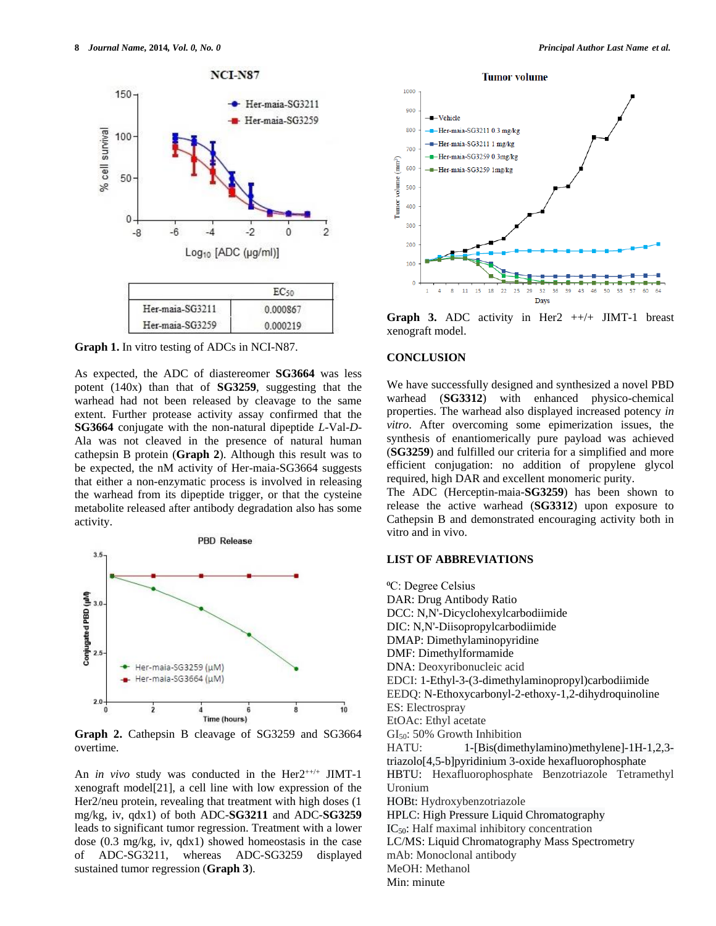

**Graph 1.** In vitro testing of ADCs in NCI-N87.

As expected, the ADC of diastereomer **SG3664** was less potent (140x) than that of **SG3259**, suggesting that the warhead had not been released by cleavage to the same extent. Further protease activity assay confirmed that the **SG3664** conjugate with the non-natural dipeptide *L*-Val-*D*-Ala was not cleaved in the presence of natural human cathepsin B protein (**Graph 2**). Although this result was to be expected, the nM activity of Her-maia-SG3664 suggests that either a non-enzymatic process is involved in releasing the warhead from its dipeptide trigger, or that the cysteine metabolite released after antibody degradation also has some activity.



**Graph 2.** Cathepsin B cleavage of SG3259 and SG3664 overtime.

An *in vivo* study was conducted in the Her2<sup>++/+</sup> JIMT-1 xenograft model[21], a cell line with low expression of the Her2/neu protein, revealing that treatment with high doses (1) mg/kg, iv, qdx1) of both ADC-**SG3211** and ADC-**SG3259** leads to significant tumor regression. Treatment with a lower dose (0.3 mg/kg, iv, qdx1) showed homeostasis in the case of ADC-SG3211, whereas ADC-SG3259 displayed sustained tumor regression (**Graph 3**).



**Graph 3.** ADC activity in Her2  $++/+$  JIMT-1 breast xenograft model.

#### **CONCLUSION**

We have successfully designed and synthesized a novel PBD warhead (**SG3312**) with enhanced physico-chemical properties. The warhead also displayed increased potency *in vitro*. After overcoming some epimerization issues, the synthesis of enantiomerically pure payload was achieved (**SG3259**) and fulfilled our criteria for a simplified and more efficient conjugation: no addition of propylene glycol required, high DAR and excellent monomeric purity.

The ADC (Herceptin-maia-**SG3259**) has been shown to release the active warhead (**SG3312**) upon exposure to Cathepsin B and demonstrated encouraging activity both in vitro and in vivo.

## **LIST OF ABBREVIATIONS**

<sup>o</sup>C: Degree Celsius DAR: Drug Antibody Ratio DCC: N,N'-Dicyclohexylcarbodiimide DIC: N,N'-Diisopropylcarbodiimide DMAP: Dimethylaminopyridine DMF: Dimethylformamide DNA: Deoxyribonucleic acid EDCI: 1-Ethyl-3-(3-dimethylaminopropyl)carbodiimide EEDQ: N-Ethoxycarbonyl-2-ethoxy-1,2-dihydroquinoline ES: Electrospray EtOAc: Ethyl acetate  $GI<sub>50</sub>: 50%$  Growth Inhibition HATU: 1-[Bis(dimethylamino)methylene]-1H-1,2,3 triazolo[4,5-b]pyridinium 3-oxide hexafluorophosphate HBTU: Hexafluorophosphate Benzotriazole Tetramethyl Uronium HOBt: Hydroxybenzotriazole HPLC: High Pressure Liquid Chromatography IC<sub>50</sub>: Half maximal inhibitory concentration LC/MS: Liquid Chromatography Mass Spectrometry mAb: Monoclonal antibody MeOH: Methanol Min: minute